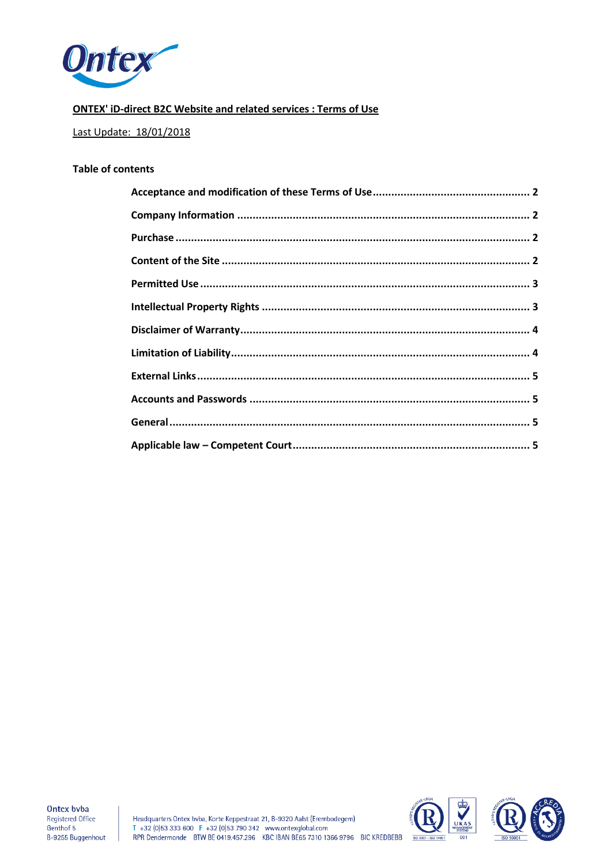

# **ONTEX' iD-direct B2C Website and related services : Terms of Use**

## Last Update: 18/01/2018

# **Table of contents**



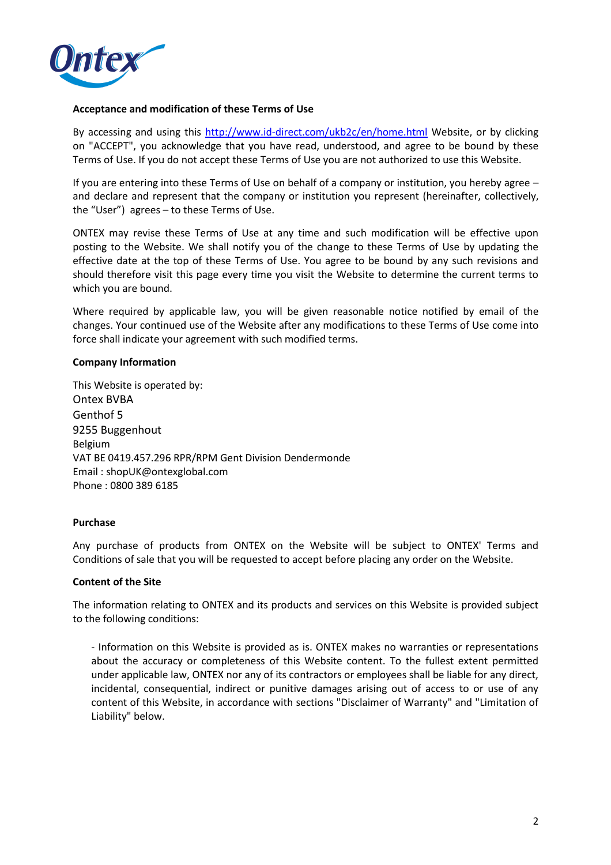

#### <span id="page-1-0"></span>**Acceptance and modification of these Terms of Use**

By accessing and using this<http://www.id-direct.com/ukb2c/en/home.html> Website, or by clicking on "ACCEPT", you acknowledge that you have read, understood, and agree to be bound by these Terms of Use. If you do not accept these Terms of Use you are not authorized to use this Website.

If you are entering into these Terms of Use on behalf of a company or institution, you hereby agree – and declare and represent that the company or institution you represent (hereinafter, collectively, the "User") agrees – to these Terms of Use.

ONTEX may revise these Terms of Use at any time and such modification will be effective upon posting to the Website. We shall notify you of the change to these Terms of Use by updating the effective date at the top of these Terms of Use. You agree to be bound by any such revisions and should therefore visit this page every time you visit the Website to determine the current terms to which you are bound.

Where required by applicable law, you will be given reasonable notice notified by email of the changes. Your continued use of the Website after any modifications to these Terms of Use come into force shall indicate your agreement with such modified terms.

## <span id="page-1-1"></span>**Company Information**

This Website is operated by: Ontex BVBA Genthof 5 9255 Buggenhout Belgium VAT BE 0419.457.296 RPR/RPM Gent Division Dendermonde Email : shopUK@ontexglobal.com Phone : 0800 389 6185

#### <span id="page-1-2"></span>**Purchase**

Any purchase of products from ONTEX on the Website will be subject to ONTEX' Terms and Conditions of sale that you will be requested to accept before placing any order on the Website.

## <span id="page-1-3"></span>**Content of the Site**

The information relating to ONTEX and its products and services on this Website is provided subject to the following conditions:

- Information on this Website is provided as is. ONTEX makes no warranties or representations about the accuracy or completeness of this Website content. To the fullest extent permitted under applicable law, ONTEX nor any of its contractors or employees shall be liable for any direct, incidental, consequential, indirect or punitive damages arising out of access to or use of any content of this Website, in accordance with sections "Disclaimer of Warranty" and "Limitation of Liability" below.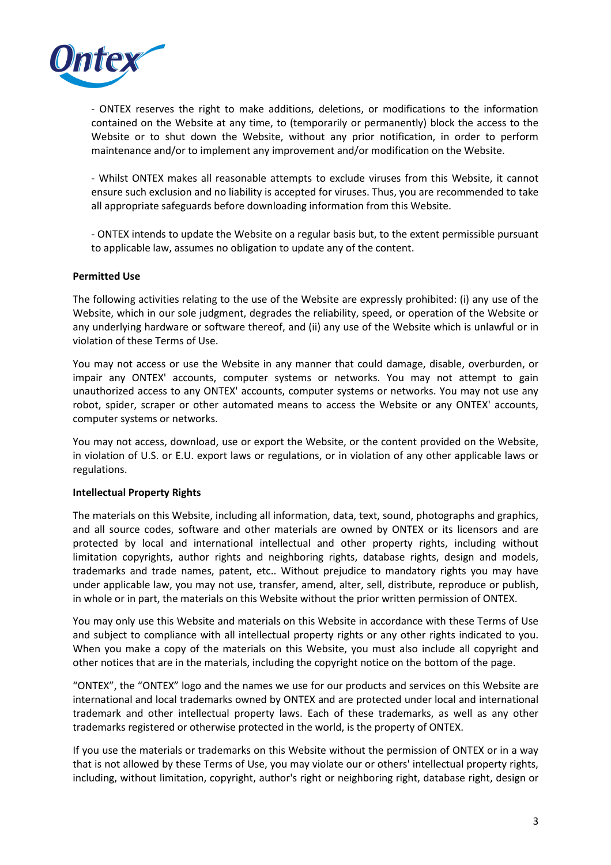

- ONTEX reserves the right to make additions, deletions, or modifications to the information contained on the Website at any time, to (temporarily or permanently) block the access to the Website or to shut down the Website, without any prior notification, in order to perform maintenance and/or to implement any improvement and/or modification on the Website.

- Whilst ONTEX makes all reasonable attempts to exclude viruses from this Website, it cannot ensure such exclusion and no liability is accepted for viruses. Thus, you are recommended to take all appropriate safeguards before downloading information from this Website.

- ONTEX intends to update the Website on a regular basis but, to the extent permissible pursuant to applicable law, assumes no obligation to update any of the content.

## <span id="page-2-0"></span>**Permitted Use**

The following activities relating to the use of the Website are expressly prohibited: (i) any use of the Website, which in our sole judgment, degrades the reliability, speed, or operation of the Website or any underlying hardware or software thereof, and (ii) any use of the Website which is unlawful or in violation of these Terms of Use.

You may not access or use the Website in any manner that could damage, disable, overburden, or impair any ONTEX' accounts, computer systems or networks. You may not attempt to gain unauthorized access to any ONTEX' accounts, computer systems or networks. You may not use any robot, spider, scraper or other automated means to access the Website or any ONTEX' accounts, computer systems or networks.

You may not access, download, use or export the Website, or the content provided on the Website, in violation of U.S. or E.U. export laws or regulations, or in violation of any other applicable laws or regulations.

## <span id="page-2-1"></span>**Intellectual Property Rights**

The materials on this Website, including all information, data, text, sound, photographs and graphics, and all source codes, software and other materials are owned by ONTEX or its licensors and are protected by local and international intellectual and other property rights, including without limitation copyrights, author rights and neighboring rights, database rights, design and models, trademarks and trade names, patent, etc.. Without prejudice to mandatory rights you may have under applicable law, you may not use, transfer, amend, alter, sell, distribute, reproduce or publish, in whole or in part, the materials on this Website without the prior written permission of ONTEX.

You may only use this Website and materials on this Website in accordance with these Terms of Use and subject to compliance with all intellectual property rights or any other rights indicated to you. When you make a copy of the materials on this Website, you must also include all copyright and other notices that are in the materials, including the copyright notice on the bottom of the page.

"ONTEX", the "ONTEX" logo and the names we use for our products and services on this Website are international and local trademarks owned by ONTEX and are protected under local and international trademark and other intellectual property laws. Each of these trademarks, as well as any other trademarks registered or otherwise protected in the world, is the property of ONTEX.

If you use the materials or trademarks on this Website without the permission of ONTEX or in a way that is not allowed by these Terms of Use, you may violate our or others' intellectual property rights, including, without limitation, copyright, author's right or neighboring right, database right, design or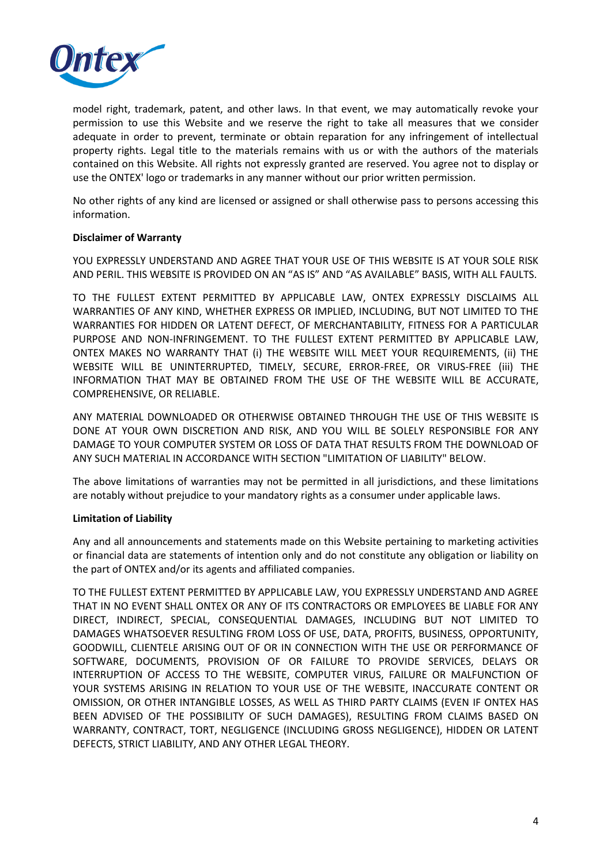

model right, trademark, patent, and other laws. In that event, we may automatically revoke your permission to use this Website and we reserve the right to take all measures that we consider adequate in order to prevent, terminate or obtain reparation for any infringement of intellectual property rights. Legal title to the materials remains with us or with the authors of the materials contained on this Website. All rights not expressly granted are reserved. You agree not to display or use the ONTEX' logo or trademarks in any manner without our prior written permission.

No other rights of any kind are licensed or assigned or shall otherwise pass to persons accessing this information.

## <span id="page-3-0"></span>**Disclaimer of Warranty**

YOU EXPRESSLY UNDERSTAND AND AGREE THAT YOUR USE OF THIS WEBSITE IS AT YOUR SOLE RISK AND PERIL. THIS WEBSITE IS PROVIDED ON AN "AS IS" AND "AS AVAILABLE" BASIS, WITH ALL FAULTS.

TO THE FULLEST EXTENT PERMITTED BY APPLICABLE LAW, ONTEX EXPRESSLY DISCLAIMS ALL WARRANTIES OF ANY KIND, WHETHER EXPRESS OR IMPLIED, INCLUDING, BUT NOT LIMITED TO THE WARRANTIES FOR HIDDEN OR LATENT DEFECT, OF MERCHANTABILITY, FITNESS FOR A PARTICULAR PURPOSE AND NON-INFRINGEMENT. TO THE FULLEST EXTENT PERMITTED BY APPLICABLE LAW, ONTEX MAKES NO WARRANTY THAT (i) THE WEBSITE WILL MEET YOUR REQUIREMENTS, (ii) THE WEBSITE WILL BE UNINTERRUPTED, TIMELY, SECURE, ERROR-FREE, OR VIRUS-FREE (iii) THE INFORMATION THAT MAY BE OBTAINED FROM THE USE OF THE WEBSITE WILL BE ACCURATE, COMPREHENSIVE, OR RELIABLE.

ANY MATERIAL DOWNLOADED OR OTHERWISE OBTAINED THROUGH THE USE OF THIS WEBSITE IS DONE AT YOUR OWN DISCRETION AND RISK, AND YOU WILL BE SOLELY RESPONSIBLE FOR ANY DAMAGE TO YOUR COMPUTER SYSTEM OR LOSS OF DATA THAT RESULTS FROM THE DOWNLOAD OF ANY SUCH MATERIAL IN ACCORDANCE WITH SECTION "LIMITATION OF LIABILITY" BELOW.

The above limitations of warranties may not be permitted in all jurisdictions, and these limitations are notably without prejudice to your mandatory rights as a consumer under applicable laws.

## <span id="page-3-1"></span>**Limitation of Liability**

Any and all announcements and statements made on this Website pertaining to marketing activities or financial data are statements of intention only and do not constitute any obligation or liability on the part of ONTEX and/or its agents and affiliated companies.

TO THE FULLEST EXTENT PERMITTED BY APPLICABLE LAW, YOU EXPRESSLY UNDERSTAND AND AGREE THAT IN NO EVENT SHALL ONTEX OR ANY OF ITS CONTRACTORS OR EMPLOYEES BE LIABLE FOR ANY DIRECT, INDIRECT, SPECIAL, CONSEQUENTIAL DAMAGES, INCLUDING BUT NOT LIMITED TO DAMAGES WHATSOEVER RESULTING FROM LOSS OF USE, DATA, PROFITS, BUSINESS, OPPORTUNITY, GOODWILL, CLIENTELE ARISING OUT OF OR IN CONNECTION WITH THE USE OR PERFORMANCE OF SOFTWARE, DOCUMENTS, PROVISION OF OR FAILURE TO PROVIDE SERVICES, DELAYS OR INTERRUPTION OF ACCESS TO THE WEBSITE, COMPUTER VIRUS, FAILURE OR MALFUNCTION OF YOUR SYSTEMS ARISING IN RELATION TO YOUR USE OF THE WEBSITE, INACCURATE CONTENT OR OMISSION, OR OTHER INTANGIBLE LOSSES, AS WELL AS THIRD PARTY CLAIMS (EVEN IF ONTEX HAS BEEN ADVISED OF THE POSSIBILITY OF SUCH DAMAGES), RESULTING FROM CLAIMS BASED ON WARRANTY, CONTRACT, TORT, NEGLIGENCE (INCLUDING GROSS NEGLIGENCE), HIDDEN OR LATENT DEFECTS, STRICT LIABILITY, AND ANY OTHER LEGAL THEORY.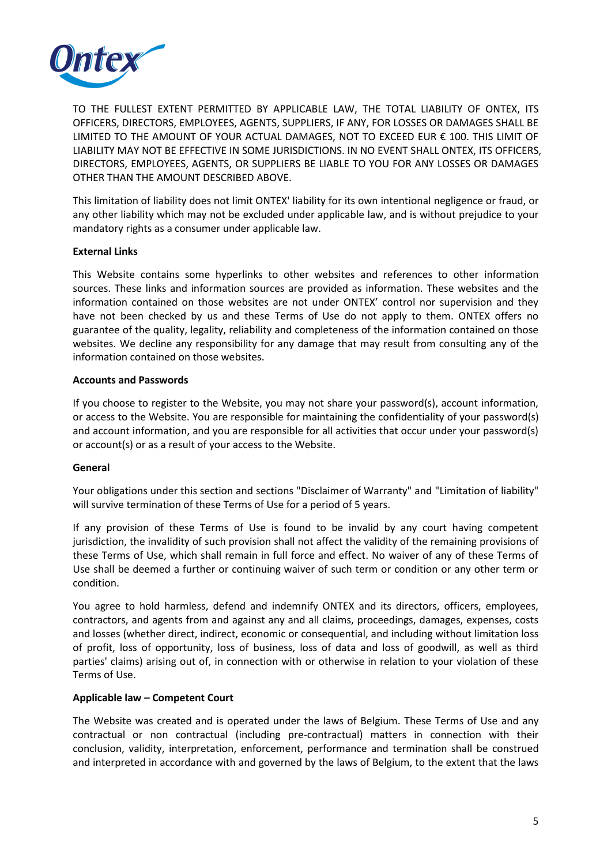

TO THE FULLEST EXTENT PERMITTED BY APPLICABLE LAW, THE TOTAL LIABILITY OF ONTEX, ITS OFFICERS, DIRECTORS, EMPLOYEES, AGENTS, SUPPLIERS, IF ANY, FOR LOSSES OR DAMAGES SHALL BE LIMITED TO THE AMOUNT OF YOUR ACTUAL DAMAGES, NOT TO EXCEED EUR € 100. THIS LIMIT OF LIABILITY MAY NOT BE EFFECTIVE IN SOME JURISDICTIONS. IN NO EVENT SHALL ONTEX, ITS OFFICERS, DIRECTORS, EMPLOYEES, AGENTS, OR SUPPLIERS BE LIABLE TO YOU FOR ANY LOSSES OR DAMAGES OTHER THAN THE AMOUNT DESCRIBED ABOVE.

This limitation of liability does not limit ONTEX' liability for its own intentional negligence or fraud, or any other liability which may not be excluded under applicable law, and is without prejudice to your mandatory rights as a consumer under applicable law.

## <span id="page-4-0"></span>**External Links**

This Website contains some hyperlinks to other websites and references to other information sources. These links and information sources are provided as information. These websites and the information contained on those websites are not under ONTEX' control nor supervision and they have not been checked by us and these Terms of Use do not apply to them. ONTEX offers no guarantee of the quality, legality, reliability and completeness of the information contained on those websites. We decline any responsibility for any damage that may result from consulting any of the information contained on those websites.

## <span id="page-4-1"></span>**Accounts and Passwords**

If you choose to register to the Website, you may not share your password(s), account information, or access to the Website. You are responsible for maintaining the confidentiality of your password(s) and account information, and you are responsible for all activities that occur under your password(s) or account(s) or as a result of your access to the Website.

## <span id="page-4-2"></span>**General**

Your obligations under this section and sections "Disclaimer of Warranty" and "Limitation of liability" will survive termination of these Terms of Use for a period of 5 years.

If any provision of these Terms of Use is found to be invalid by any court having competent jurisdiction, the invalidity of such provision shall not affect the validity of the remaining provisions of these Terms of Use, which shall remain in full force and effect. No waiver of any of these Terms of Use shall be deemed a further or continuing waiver of such term or condition or any other term or condition.

You agree to hold harmless, defend and indemnify ONTEX and its directors, officers, employees, contractors, and agents from and against any and all claims, proceedings, damages, expenses, costs and losses (whether direct, indirect, economic or consequential, and including without limitation loss of profit, loss of opportunity, loss of business, loss of data and loss of goodwill, as well as third parties' claims) arising out of, in connection with or otherwise in relation to your violation of these Terms of Use.

## <span id="page-4-3"></span>**Applicable law – Competent Court**

The Website was created and is operated under the laws of Belgium. These Terms of Use and any contractual or non contractual (including pre-contractual) matters in connection with their conclusion, validity, interpretation, enforcement, performance and termination shall be construed and interpreted in accordance with and governed by the laws of Belgium, to the extent that the laws